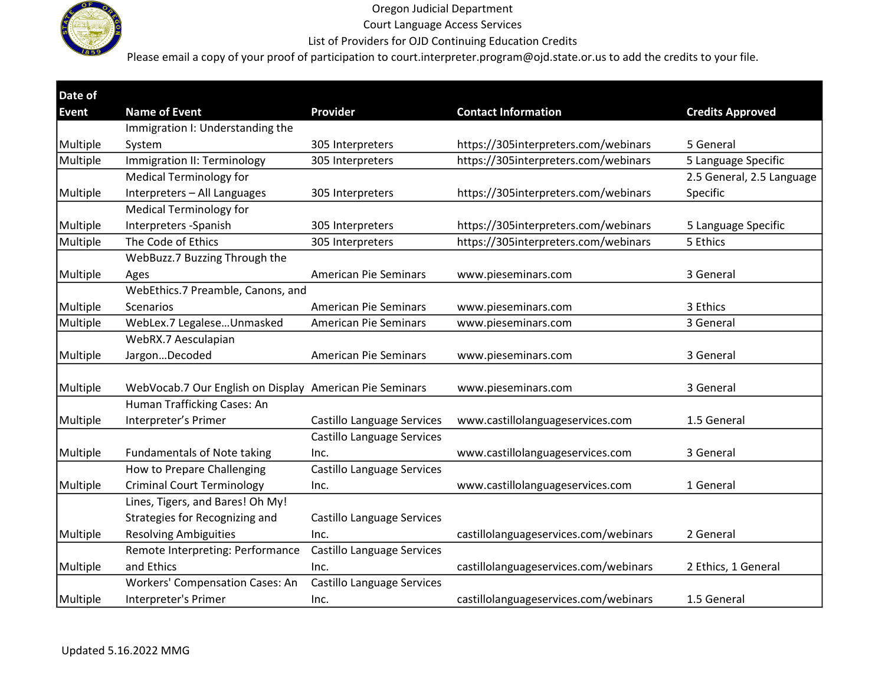

Court Language Access Services

### List of Providers for OJD Continuing Education Credits

| Date of      |                                                         |                                   |                                       |                           |
|--------------|---------------------------------------------------------|-----------------------------------|---------------------------------------|---------------------------|
| <b>Event</b> | <b>Name of Event</b>                                    | Provider                          | <b>Contact Information</b>            | <b>Credits Approved</b>   |
|              | Immigration I: Understanding the                        |                                   |                                       |                           |
| Multiple     | System                                                  | 305 Interpreters                  | https://305interpreters.com/webinars  | 5 General                 |
| Multiple     | Immigration II: Terminology                             | 305 Interpreters                  | https://305interpreters.com/webinars  | 5 Language Specific       |
|              | <b>Medical Terminology for</b>                          |                                   |                                       | 2.5 General, 2.5 Language |
| Multiple     | Interpreters - All Languages                            | 305 Interpreters                  | https://305interpreters.com/webinars  | Specific                  |
|              | <b>Medical Terminology for</b>                          |                                   |                                       |                           |
| Multiple     | Interpreters -Spanish                                   | 305 Interpreters                  | https://305interpreters.com/webinars  | 5 Language Specific       |
| Multiple     | The Code of Ethics                                      | 305 Interpreters                  | https://305interpreters.com/webinars  | 5 Ethics                  |
|              | WebBuzz.7 Buzzing Through the                           |                                   |                                       |                           |
| Multiple     | Ages                                                    | <b>American Pie Seminars</b>      | www.pieseminars.com                   | 3 General                 |
|              | WebEthics.7 Preamble, Canons, and                       |                                   |                                       |                           |
| Multiple     | Scenarios                                               | <b>American Pie Seminars</b>      | www.pieseminars.com                   | 3 Ethics                  |
| Multiple     | WebLex.7 LegaleseUnmasked                               | <b>American Pie Seminars</b>      | www.pieseminars.com                   | 3 General                 |
|              | WebRX.7 Aesculapian                                     |                                   |                                       |                           |
| Multiple     | JargonDecoded                                           | <b>American Pie Seminars</b>      | www.pieseminars.com                   | 3 General                 |
|              |                                                         |                                   |                                       |                           |
| Multiple     | WebVocab.7 Our English on Display American Pie Seminars |                                   | www.pieseminars.com                   | 3 General                 |
|              | Human Trafficking Cases: An                             |                                   |                                       |                           |
| Multiple     | Interpreter's Primer                                    | <b>Castillo Language Services</b> | www.castillolanguageservices.com      | 1.5 General               |
|              |                                                         | Castillo Language Services        |                                       |                           |
| Multiple     | <b>Fundamentals of Note taking</b>                      | Inc.                              | www.castillolanguageservices.com      | 3 General                 |
|              | How to Prepare Challenging                              | Castillo Language Services        |                                       |                           |
| Multiple     | <b>Criminal Court Terminology</b>                       | Inc.                              | www.castillolanguageservices.com      | 1 General                 |
|              | Lines, Tigers, and Bares! Oh My!                        |                                   |                                       |                           |
|              | Strategies for Recognizing and                          | Castillo Language Services        |                                       |                           |
| Multiple     | <b>Resolving Ambiguities</b>                            | Inc.                              | castillolanguageservices.com/webinars | 2 General                 |
|              | Remote Interpreting: Performance                        | Castillo Language Services        |                                       |                           |
| Multiple     | and Ethics                                              | Inc.                              | castillolanguageservices.com/webinars | 2 Ethics, 1 General       |
|              | Workers' Compensation Cases: An                         | Castillo Language Services        |                                       |                           |
| Multiple     | Interpreter's Primer                                    | Inc.                              | castillolanguageservices.com/webinars | 1.5 General               |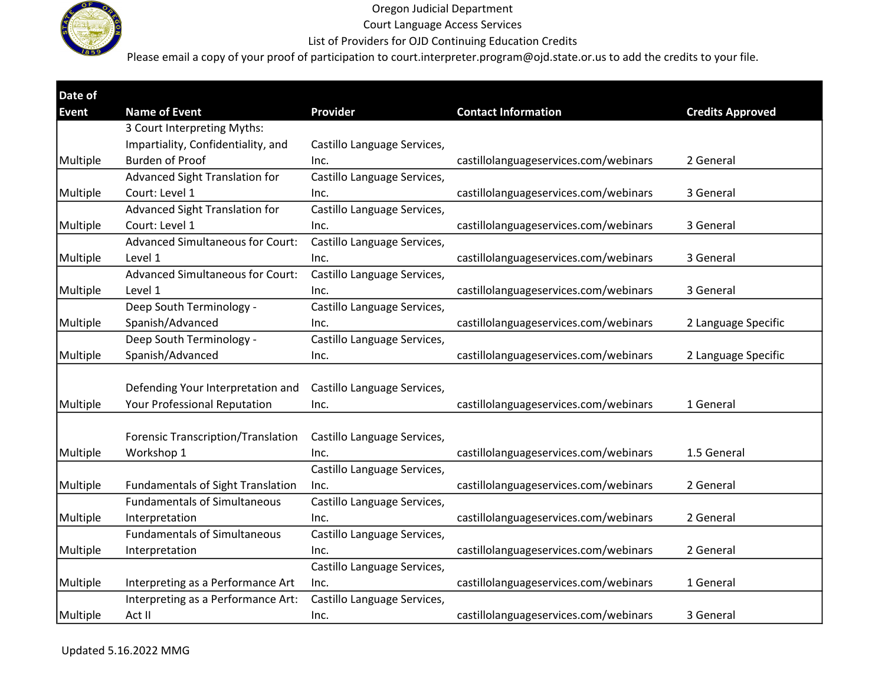

Court Language Access Services

List of Providers for OJD Continuing Education Credits

| Date of      |                                           |                             |                                       |                         |
|--------------|-------------------------------------------|-----------------------------|---------------------------------------|-------------------------|
| <b>Event</b> | <b>Name of Event</b>                      | Provider                    | <b>Contact Information</b>            | <b>Credits Approved</b> |
|              | 3 Court Interpreting Myths:               |                             |                                       |                         |
|              | Impartiality, Confidentiality, and        | Castillo Language Services, |                                       |                         |
| Multiple     | <b>Burden of Proof</b>                    | Inc.                        | castillolanguageservices.com/webinars | 2 General               |
|              | Advanced Sight Translation for            | Castillo Language Services, |                                       |                         |
| Multiple     | Court: Level 1                            | Inc.                        | castillolanguageservices.com/webinars | 3 General               |
|              | Advanced Sight Translation for            | Castillo Language Services, |                                       |                         |
| Multiple     | Court: Level 1                            | Inc.                        | castillolanguageservices.com/webinars | 3 General               |
|              | <b>Advanced Simultaneous for Court:</b>   | Castillo Language Services, |                                       |                         |
| Multiple     | Level 1                                   | Inc.                        | castillolanguageservices.com/webinars | 3 General               |
|              | <b>Advanced Simultaneous for Court:</b>   | Castillo Language Services, |                                       |                         |
| Multiple     | Level 1                                   | Inc.                        | castillolanguageservices.com/webinars | 3 General               |
|              | Deep South Terminology -                  | Castillo Language Services, |                                       |                         |
| Multiple     | Spanish/Advanced                          | Inc.                        | castillolanguageservices.com/webinars | 2 Language Specific     |
|              | Deep South Terminology -                  | Castillo Language Services, |                                       |                         |
| Multiple     | Spanish/Advanced                          | Inc.                        | castillolanguageservices.com/webinars | 2 Language Specific     |
|              |                                           |                             |                                       |                         |
|              | Defending Your Interpretation and         | Castillo Language Services, |                                       |                         |
| Multiple     | Your Professional Reputation              | Inc.                        | castillolanguageservices.com/webinars | 1 General               |
|              |                                           |                             |                                       |                         |
|              | <b>Forensic Transcription/Translation</b> | Castillo Language Services, |                                       |                         |
| Multiple     | Workshop 1                                | Inc.                        | castillolanguageservices.com/webinars | 1.5 General             |
|              |                                           | Castillo Language Services, |                                       |                         |
| Multiple     | <b>Fundamentals of Sight Translation</b>  | Inc.                        | castillolanguageservices.com/webinars | 2 General               |
|              | <b>Fundamentals of Simultaneous</b>       | Castillo Language Services, |                                       |                         |
| Multiple     | Interpretation                            | Inc.                        | castillolanguageservices.com/webinars | 2 General               |
|              | <b>Fundamentals of Simultaneous</b>       | Castillo Language Services, |                                       |                         |
| Multiple     | Interpretation                            | Inc.                        | castillolanguageservices.com/webinars | 2 General               |
|              |                                           | Castillo Language Services, |                                       |                         |
| Multiple     | Interpreting as a Performance Art         | Inc.                        | castillolanguageservices.com/webinars | 1 General               |
|              | Interpreting as a Performance Art:        | Castillo Language Services, |                                       |                         |
| Multiple     | Act II                                    | Inc.                        | castillolanguageservices.com/webinars | 3 General               |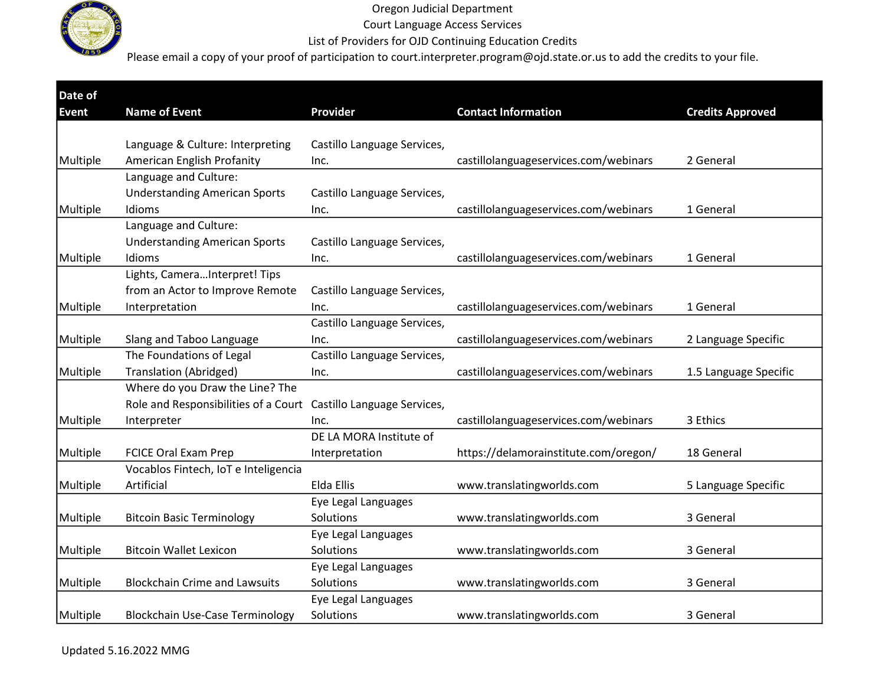

Court Language Access Services

### List of Providers for OJD Continuing Education Credits

| Date of      |                                        | Provider                    |                                       |                         |
|--------------|----------------------------------------|-----------------------------|---------------------------------------|-------------------------|
| <b>Event</b> | <b>Name of Event</b>                   |                             | <b>Contact Information</b>            | <b>Credits Approved</b> |
|              | Language & Culture: Interpreting       | Castillo Language Services, |                                       |                         |
| Multiple     | American English Profanity             | Inc.                        | castillolanguageservices.com/webinars | 2 General               |
|              | Language and Culture:                  |                             |                                       |                         |
|              | <b>Understanding American Sports</b>   | Castillo Language Services, |                                       |                         |
| Multiple     | Idioms                                 | Inc.                        | castillolanguageservices.com/webinars | 1 General               |
|              | Language and Culture:                  |                             |                                       |                         |
|              | <b>Understanding American Sports</b>   | Castillo Language Services, |                                       |                         |
| Multiple     | Idioms                                 | Inc.                        | castillolanguageservices.com/webinars | 1 General               |
|              | Lights, CameraInterpret! Tips          |                             |                                       |                         |
|              | from an Actor to Improve Remote        | Castillo Language Services, |                                       |                         |
| Multiple     | Interpretation                         | Inc.                        | castillolanguageservices.com/webinars | 1 General               |
|              |                                        | Castillo Language Services, |                                       |                         |
| Multiple     | Slang and Taboo Language               | Inc.                        | castillolanguageservices.com/webinars | 2 Language Specific     |
|              | The Foundations of Legal               | Castillo Language Services, |                                       |                         |
| Multiple     | <b>Translation (Abridged)</b>          | Inc.                        | castillolanguageservices.com/webinars | 1.5 Language Specific   |
|              | Where do you Draw the Line? The        |                             |                                       |                         |
|              | Role and Responsibilities of a Court   | Castillo Language Services, |                                       |                         |
| Multiple     | Interpreter                            | Inc.                        | castillolanguageservices.com/webinars | 3 Ethics                |
|              |                                        | DE LA MORA Institute of     |                                       |                         |
| Multiple     | <b>FCICE Oral Exam Prep</b>            | Interpretation              | https://delamorainstitute.com/oregon/ | 18 General              |
|              | Vocablos Fintech, IoT e Inteligencia   |                             |                                       |                         |
| Multiple     | Artificial                             | Elda Ellis                  | www.translatingworlds.com             | 5 Language Specific     |
|              |                                        | Eye Legal Languages         |                                       |                         |
| Multiple     | <b>Bitcoin Basic Terminology</b>       | Solutions                   | www.translatingworlds.com             | 3 General               |
|              |                                        | Eye Legal Languages         |                                       |                         |
| Multiple     | <b>Bitcoin Wallet Lexicon</b>          | Solutions                   | www.translatingworlds.com             | 3 General               |
|              |                                        | Eye Legal Languages         |                                       |                         |
| Multiple     | <b>Blockchain Crime and Lawsuits</b>   | Solutions                   | www.translatingworlds.com             | 3 General               |
|              |                                        | Eye Legal Languages         |                                       |                         |
| Multiple     | <b>Blockchain Use-Case Terminology</b> | Solutions                   | www.translatingworlds.com             | 3 General               |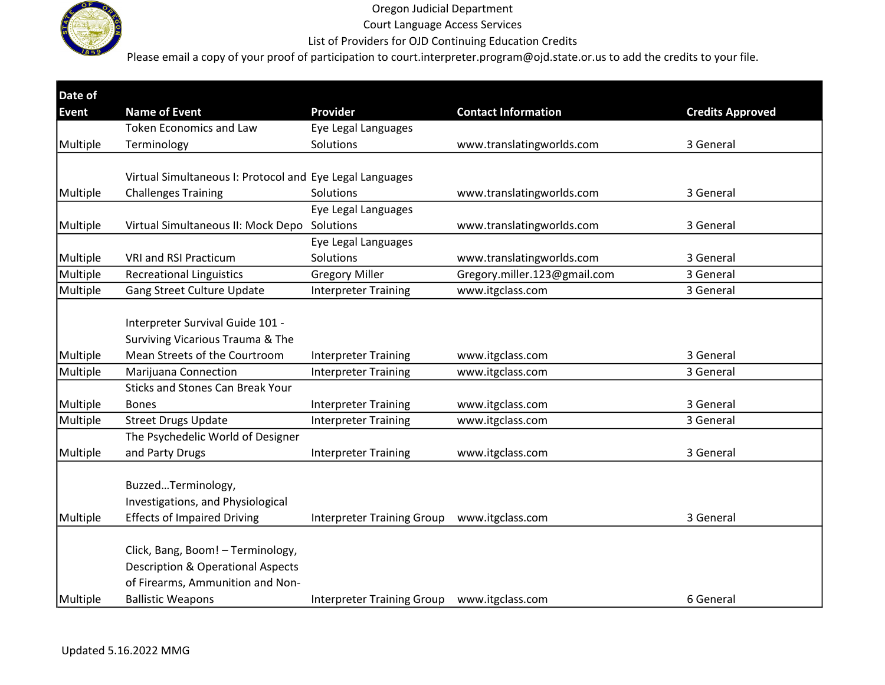

Court Language Access Services

List of Providers for OJD Continuing Education Credits

| Date of      |                                                          |                                             |                              |                         |
|--------------|----------------------------------------------------------|---------------------------------------------|------------------------------|-------------------------|
| <b>Event</b> | <b>Name of Event</b>                                     | <b>Provider</b>                             | <b>Contact Information</b>   | <b>Credits Approved</b> |
|              | <b>Token Economics and Law</b>                           | Eye Legal Languages                         |                              |                         |
| Multiple     | Terminology                                              | Solutions                                   | www.translatingworlds.com    | 3 General               |
|              |                                                          |                                             |                              |                         |
|              | Virtual Simultaneous I: Protocol and Eye Legal Languages |                                             |                              |                         |
| Multiple     | <b>Challenges Training</b>                               | Solutions                                   | www.translatingworlds.com    | 3 General               |
|              |                                                          | Eye Legal Languages                         |                              |                         |
| Multiple     | Virtual Simultaneous II: Mock Depo                       | Solutions                                   | www.translatingworlds.com    | 3 General               |
|              |                                                          | Eye Legal Languages                         |                              |                         |
| Multiple     | <b>VRI and RSI Practicum</b>                             | Solutions                                   | www.translatingworlds.com    | 3 General               |
| Multiple     | <b>Recreational Linguistics</b>                          | <b>Gregory Miller</b>                       | Gregory.miller.123@gmail.com | 3 General               |
| Multiple     | Gang Street Culture Update                               | <b>Interpreter Training</b>                 | www.itgclass.com             | 3 General               |
|              |                                                          |                                             |                              |                         |
|              | Interpreter Survival Guide 101 -                         |                                             |                              |                         |
|              | Surviving Vicarious Trauma & The                         |                                             |                              |                         |
| Multiple     | Mean Streets of the Courtroom                            | <b>Interpreter Training</b>                 | www.itgclass.com             | 3 General               |
| Multiple     | Marijuana Connection                                     | <b>Interpreter Training</b>                 | www.itgclass.com             | 3 General               |
|              | <b>Sticks and Stones Can Break Your</b>                  |                                             |                              |                         |
| Multiple     | <b>Bones</b>                                             | <b>Interpreter Training</b>                 | www.itgclass.com             | 3 General               |
| Multiple     | <b>Street Drugs Update</b>                               | <b>Interpreter Training</b>                 | www.itgclass.com             | 3 General               |
|              | The Psychedelic World of Designer                        |                                             |                              |                         |
| Multiple     | and Party Drugs                                          | <b>Interpreter Training</b>                 | www.itgclass.com             | 3 General               |
|              |                                                          |                                             |                              |                         |
|              | BuzzedTerminology,                                       |                                             |                              |                         |
|              | Investigations, and Physiological                        |                                             |                              |                         |
| Multiple     | <b>Effects of Impaired Driving</b>                       | <b>Interpreter Training Group</b>           | www.itgclass.com             | 3 General               |
|              |                                                          |                                             |                              |                         |
|              | Click, Bang, Boom! - Terminology,                        |                                             |                              |                         |
|              | <b>Description &amp; Operational Aspects</b>             |                                             |                              |                         |
|              | of Firearms, Ammunition and Non-                         |                                             |                              |                         |
| Multiple     | <b>Ballistic Weapons</b>                                 | Interpreter Training Group www.itgclass.com |                              | 6 General               |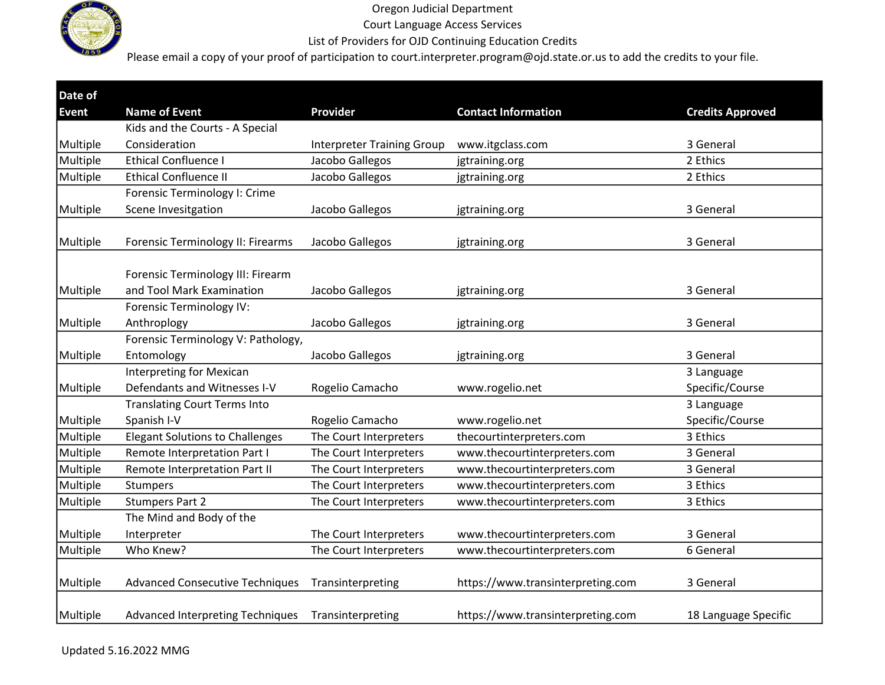

Court Language Access Services

List of Providers for OJD Continuing Education Credits

| Date of      |                                         |                                   |                                   |                         |
|--------------|-----------------------------------------|-----------------------------------|-----------------------------------|-------------------------|
| <b>Event</b> | <b>Name of Event</b>                    | <b>Provider</b>                   | <b>Contact Information</b>        | <b>Credits Approved</b> |
|              | Kids and the Courts - A Special         |                                   |                                   |                         |
| Multiple     | Consideration                           | <b>Interpreter Training Group</b> | www.itgclass.com                  | 3 General               |
| Multiple     | <b>Ethical Confluence I</b>             | Jacobo Gallegos                   | jgtraining.org                    | 2 Ethics                |
| Multiple     | <b>Ethical Confluence II</b>            | Jacobo Gallegos                   | jgtraining.org                    | 2 Ethics                |
|              | Forensic Terminology I: Crime           |                                   |                                   |                         |
| Multiple     | Scene Invesitgation                     | Jacobo Gallegos                   | jgtraining.org                    | 3 General               |
|              |                                         |                                   |                                   |                         |
| Multiple     | Forensic Terminology II: Firearms       | Jacobo Gallegos                   | jgtraining.org                    | 3 General               |
|              |                                         |                                   |                                   |                         |
|              | Forensic Terminology III: Firearm       |                                   |                                   |                         |
| Multiple     | and Tool Mark Examination               | Jacobo Gallegos                   | jgtraining.org                    | 3 General               |
|              | Forensic Terminology IV:                |                                   |                                   |                         |
| Multiple     | Anthroplogy                             | Jacobo Gallegos                   | jgtraining.org                    | 3 General               |
|              | Forensic Terminology V: Pathology,      |                                   |                                   |                         |
| Multiple     | Entomology                              | Jacobo Gallegos                   | jgtraining.org                    | 3 General               |
|              | <b>Interpreting for Mexican</b>         |                                   |                                   | 3 Language              |
| Multiple     | Defendants and Witnesses I-V            | Rogelio Camacho                   | www.rogelio.net                   | Specific/Course         |
|              | <b>Translating Court Terms Into</b>     |                                   |                                   | 3 Language              |
| Multiple     | Spanish I-V                             | Rogelio Camacho                   | www.rogelio.net                   | Specific/Course         |
| Multiple     | <b>Elegant Solutions to Challenges</b>  | The Court Interpreters            | thecourtinterpreters.com          | 3 Ethics                |
| Multiple     | Remote Interpretation Part I            | The Court Interpreters            | www.thecourtinterpreters.com      | 3 General               |
| Multiple     | Remote Interpretation Part II           | The Court Interpreters            | www.thecourtinterpreters.com      | 3 General               |
| Multiple     | Stumpers                                | The Court Interpreters            | www.thecourtinterpreters.com      | 3 Ethics                |
| Multiple     | <b>Stumpers Part 2</b>                  | The Court Interpreters            | www.thecourtinterpreters.com      | 3 Ethics                |
|              | The Mind and Body of the                |                                   |                                   |                         |
| Multiple     | Interpreter                             | The Court Interpreters            | www.thecourtinterpreters.com      | 3 General               |
| Multiple     | Who Knew?                               | The Court Interpreters            | www.thecourtinterpreters.com      | 6 General               |
|              |                                         |                                   |                                   |                         |
| Multiple     | <b>Advanced Consecutive Techniques</b>  | Transinterpreting                 | https://www.transinterpreting.com | 3 General               |
|              |                                         |                                   |                                   |                         |
| Multiple     | <b>Advanced Interpreting Techniques</b> | Transinterpreting                 | https://www.transinterpreting.com | 18 Language Specific    |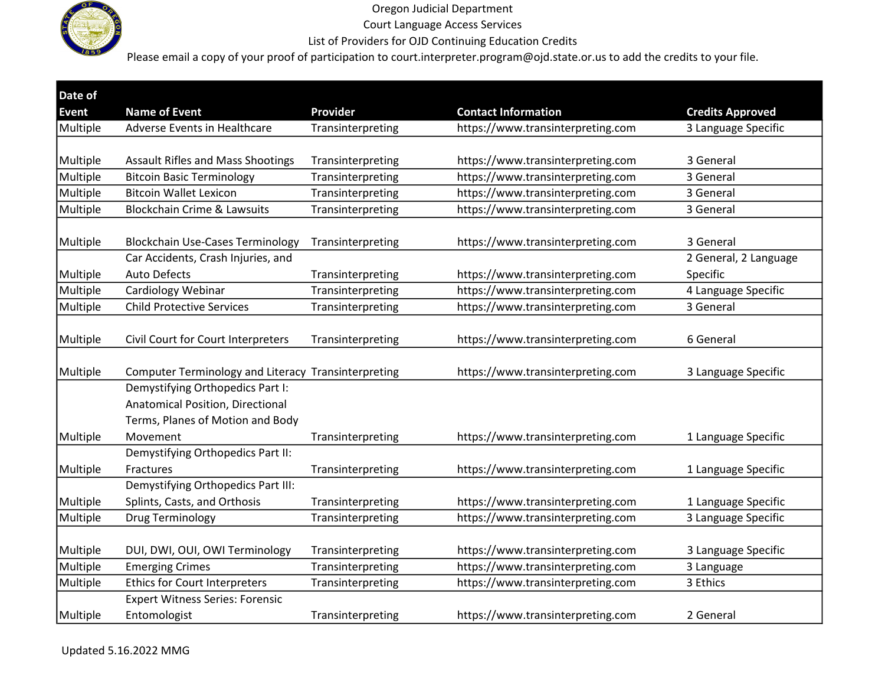

Court Language Access Services

List of Providers for OJD Continuing Education Credits

| Date of      |                                                        |                   |                                   |                         |
|--------------|--------------------------------------------------------|-------------------|-----------------------------------|-------------------------|
| <b>Event</b> | <b>Name of Event</b>                                   | <b>Provider</b>   | <b>Contact Information</b>        | <b>Credits Approved</b> |
| Multiple     | Adverse Events in Healthcare                           | Transinterpreting | https://www.transinterpreting.com | 3 Language Specific     |
| Multiple     | <b>Assault Rifles and Mass Shootings</b>               | Transinterpreting | https://www.transinterpreting.com | 3 General               |
| Multiple     | <b>Bitcoin Basic Terminology</b>                       | Transinterpreting | https://www.transinterpreting.com | 3 General               |
| Multiple     | <b>Bitcoin Wallet Lexicon</b>                          | Transinterpreting | https://www.transinterpreting.com | 3 General               |
| Multiple     | <b>Blockchain Crime &amp; Lawsuits</b>                 | Transinterpreting | https://www.transinterpreting.com | 3 General               |
| Multiple     | <b>Blockchain Use-Cases Terminology</b>                | Transinterpreting | https://www.transinterpreting.com | 3 General               |
|              | Car Accidents, Crash Injuries, and                     |                   |                                   | 2 General, 2 Language   |
| Multiple     | <b>Auto Defects</b>                                    | Transinterpreting | https://www.transinterpreting.com | Specific                |
| Multiple     | Cardiology Webinar                                     | Transinterpreting | https://www.transinterpreting.com | 4 Language Specific     |
| Multiple     | <b>Child Protective Services</b>                       | Transinterpreting | https://www.transinterpreting.com | 3 General               |
| Multiple     | Civil Court for Court Interpreters                     | Transinterpreting | https://www.transinterpreting.com | 6 General               |
| Multiple     | Computer Terminology and Literacy Transinterpreting    |                   | https://www.transinterpreting.com | 3 Language Specific     |
|              | Demystifying Orthopedics Part I:                       |                   |                                   |                         |
|              | Anatomical Position, Directional                       |                   |                                   |                         |
|              | Terms, Planes of Motion and Body                       |                   |                                   |                         |
| Multiple     | Movement                                               | Transinterpreting | https://www.transinterpreting.com | 1 Language Specific     |
|              | Demystifying Orthopedics Part II:                      |                   |                                   |                         |
| Multiple     | Fractures                                              | Transinterpreting | https://www.transinterpreting.com | 1 Language Specific     |
|              | Demystifying Orthopedics Part III:                     |                   |                                   |                         |
| Multiple     | Splints, Casts, and Orthosis                           | Transinterpreting | https://www.transinterpreting.com | 1 Language Specific     |
| Multiple     | Drug Terminology                                       | Transinterpreting | https://www.transinterpreting.com | 3 Language Specific     |
| Multiple     | DUI, DWI, OUI, OWI Terminology                         | Transinterpreting | https://www.transinterpreting.com | 3 Language Specific     |
| Multiple     | <b>Emerging Crimes</b>                                 | Transinterpreting | https://www.transinterpreting.com | 3 Language              |
| Multiple     | <b>Ethics for Court Interpreters</b>                   | Transinterpreting | https://www.transinterpreting.com | 3 Ethics                |
| Multiple     | <b>Expert Witness Series: Forensic</b><br>Entomologist | Transinterpreting | https://www.transinterpreting.com | 2 General               |
|              |                                                        |                   |                                   |                         |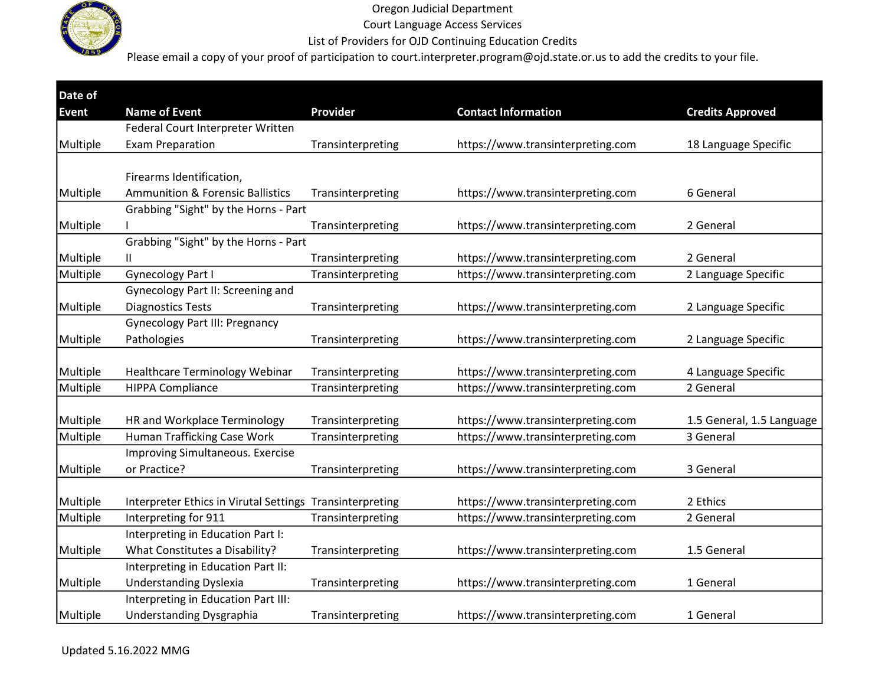

Court Language Access Services

### List of Providers for OJD Continuing Education Credits

| Date of      |                                                          |                   |                                   |                           |
|--------------|----------------------------------------------------------|-------------------|-----------------------------------|---------------------------|
| <b>Event</b> | <b>Name of Event</b>                                     | Provider          | <b>Contact Information</b>        | <b>Credits Approved</b>   |
|              | Federal Court Interpreter Written                        |                   |                                   |                           |
| Multiple     | <b>Exam Preparation</b>                                  | Transinterpreting | https://www.transinterpreting.com | 18 Language Specific      |
|              |                                                          |                   |                                   |                           |
|              | Firearms Identification,                                 |                   |                                   |                           |
| Multiple     | <b>Ammunition &amp; Forensic Ballistics</b>              | Transinterpreting | https://www.transinterpreting.com | 6 General                 |
|              | Grabbing "Sight" by the Horns - Part                     |                   |                                   |                           |
| Multiple     |                                                          | Transinterpreting | https://www.transinterpreting.com | 2 General                 |
|              | Grabbing "Sight" by the Horns - Part                     |                   |                                   |                           |
| Multiple     | $\mathbf{H}$                                             | Transinterpreting | https://www.transinterpreting.com | 2 General                 |
| Multiple     | <b>Gynecology Part I</b>                                 | Transinterpreting | https://www.transinterpreting.com | 2 Language Specific       |
|              | Gynecology Part II: Screening and                        |                   |                                   |                           |
| Multiple     | <b>Diagnostics Tests</b>                                 | Transinterpreting | https://www.transinterpreting.com | 2 Language Specific       |
|              | <b>Gynecology Part III: Pregnancy</b>                    |                   |                                   |                           |
| Multiple     | Pathologies                                              | Transinterpreting | https://www.transinterpreting.com | 2 Language Specific       |
|              |                                                          |                   |                                   |                           |
| Multiple     | <b>Healthcare Terminology Webinar</b>                    | Transinterpreting | https://www.transinterpreting.com | 4 Language Specific       |
| Multiple     | <b>HIPPA Compliance</b>                                  | Transinterpreting | https://www.transinterpreting.com | 2 General                 |
|              |                                                          |                   |                                   |                           |
| Multiple     | HR and Workplace Terminology                             | Transinterpreting | https://www.transinterpreting.com | 1.5 General, 1.5 Language |
| Multiple     | Human Trafficking Case Work                              | Transinterpreting | https://www.transinterpreting.com | 3 General                 |
|              | Improving Simultaneous. Exercise                         |                   |                                   |                           |
| Multiple     | or Practice?                                             | Transinterpreting | https://www.transinterpreting.com | 3 General                 |
|              |                                                          |                   |                                   |                           |
| Multiple     | Interpreter Ethics in Virutal Settings Transinterpreting |                   | https://www.transinterpreting.com | 2 Ethics                  |
| Multiple     | Interpreting for 911                                     | Transinterpreting | https://www.transinterpreting.com | 2 General                 |
|              | Interpreting in Education Part I:                        |                   |                                   |                           |
| Multiple     | What Constitutes a Disability?                           | Transinterpreting | https://www.transinterpreting.com | 1.5 General               |
|              | Interpreting in Education Part II:                       |                   |                                   |                           |
| Multiple     | <b>Understanding Dyslexia</b>                            | Transinterpreting | https://www.transinterpreting.com | 1 General                 |
|              | Interpreting in Education Part III:                      |                   |                                   |                           |
| Multiple     | <b>Understanding Dysgraphia</b>                          | Transinterpreting | https://www.transinterpreting.com | 1 General                 |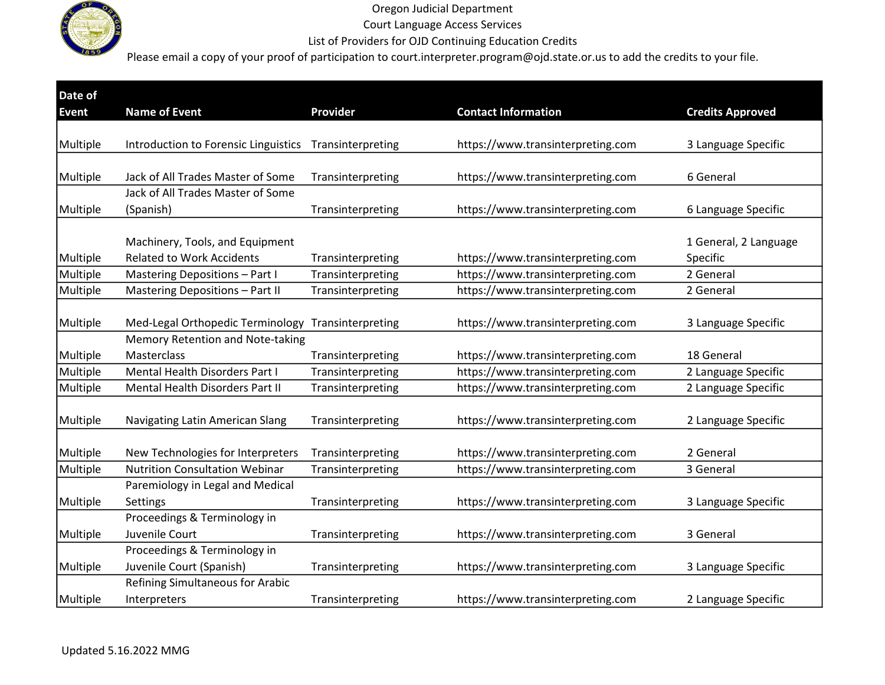

Court Language Access Services

List of Providers for OJD Continuing Education Credits

| Date of      |                                        |                   |                                   |                         |
|--------------|----------------------------------------|-------------------|-----------------------------------|-------------------------|
| <b>Event</b> | <b>Name of Event</b>                   | <b>Provider</b>   | <b>Contact Information</b>        | <b>Credits Approved</b> |
|              |                                        |                   |                                   |                         |
| Multiple     | Introduction to Forensic Linguistics   | Transinterpreting | https://www.transinterpreting.com | 3 Language Specific     |
|              |                                        |                   |                                   |                         |
| Multiple     | Jack of All Trades Master of Some      | Transinterpreting | https://www.transinterpreting.com | 6 General               |
|              | Jack of All Trades Master of Some      |                   |                                   |                         |
| Multiple     | (Spanish)                              | Transinterpreting | https://www.transinterpreting.com | 6 Language Specific     |
|              |                                        |                   |                                   |                         |
|              | Machinery, Tools, and Equipment        |                   |                                   | 1 General, 2 Language   |
| Multiple     | <b>Related to Work Accidents</b>       | Transinterpreting | https://www.transinterpreting.com | Specific                |
| Multiple     | Mastering Depositions - Part I         | Transinterpreting | https://www.transinterpreting.com | 2 General               |
| Multiple     | <b>Mastering Depositions - Part II</b> | Transinterpreting | https://www.transinterpreting.com | 2 General               |
|              |                                        |                   |                                   |                         |
| Multiple     | Med-Legal Orthopedic Terminology       | Transinterpreting | https://www.transinterpreting.com | 3 Language Specific     |
|              | Memory Retention and Note-taking       |                   |                                   |                         |
| Multiple     | Masterclass                            | Transinterpreting | https://www.transinterpreting.com | 18 General              |
| Multiple     | Mental Health Disorders Part I         | Transinterpreting | https://www.transinterpreting.com | 2 Language Specific     |
| Multiple     | Mental Health Disorders Part II        | Transinterpreting | https://www.transinterpreting.com | 2 Language Specific     |
|              |                                        |                   |                                   |                         |
| Multiple     | Navigating Latin American Slang        | Transinterpreting | https://www.transinterpreting.com | 2 Language Specific     |
|              |                                        |                   |                                   |                         |
| Multiple     | New Technologies for Interpreters      | Transinterpreting | https://www.transinterpreting.com | 2 General               |
| Multiple     | <b>Nutrition Consultation Webinar</b>  | Transinterpreting | https://www.transinterpreting.com | 3 General               |
|              | Paremiology in Legal and Medical       |                   |                                   |                         |
| Multiple     | Settings                               | Transinterpreting | https://www.transinterpreting.com | 3 Language Specific     |
|              | Proceedings & Terminology in           |                   |                                   |                         |
| Multiple     | Juvenile Court                         | Transinterpreting | https://www.transinterpreting.com | 3 General               |
|              | Proceedings & Terminology in           |                   |                                   |                         |
| Multiple     | Juvenile Court (Spanish)               | Transinterpreting | https://www.transinterpreting.com | 3 Language Specific     |
|              | Refining Simultaneous for Arabic       |                   |                                   |                         |
| Multiple     | Interpreters                           | Transinterpreting | https://www.transinterpreting.com | 2 Language Specific     |